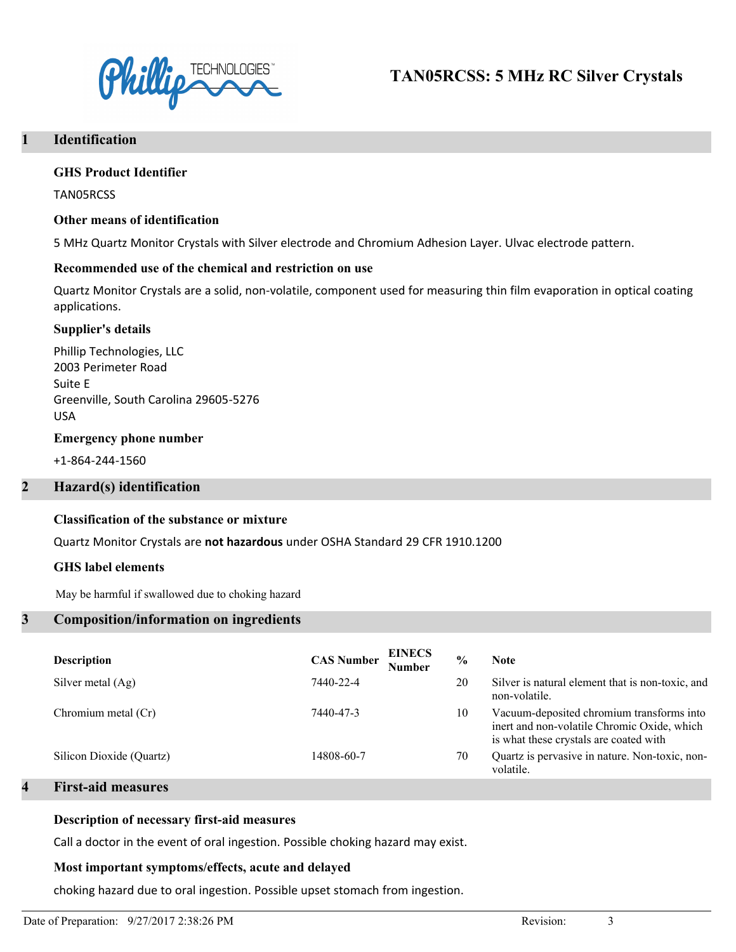

# **TAN05RCSS: 5 MHz RC Silver Crystals**

# **1 Identification**

#### **GHS Product Identifier**

# TAN05RCSS

#### **Other means of identification**

5 MHz Quartz Monitor Crystals with Silver electrode and Chromium Adhesion Layer. Ulvac electrode pattern.

#### **Recommended use of the chemical and restriction on use**

Quartz Monitor Crystals are a solid, non-volatile, component used for measuring thin film evaporation in optical coating applications.

#### **Supplier's details**

Phillip Technologies, LLC 2003 Perimeter Road Suite E Greenville, South Carolina 29605-5276 USA

## **Emergency phone number**

+1-864-244-1560

# **2 Hazard(s) identification**

#### **Classification of the substance or mixture**

Quartz Monitor Crystals are **not hazardous** under OSHA Standard 29 CFR 1910.1200

#### **GHS label elements**

May be harmful if swallowed due to choking hazard

#### **3 Composition/information on ingredients**

| <b>Description</b>       | <b>EINECS</b><br><b>CAS Number</b><br><b>Number</b> | $\frac{0}{0}$ | Note                                                                                                                               |
|--------------------------|-----------------------------------------------------|---------------|------------------------------------------------------------------------------------------------------------------------------------|
| Silver metal (Ag)        | 7440-22-4                                           | 20            | Silver is natural element that is non-toxic, and<br>non-volatile.                                                                  |
| Chromium metal (Cr)      | 7440-47-3                                           | 10            | Vacuum-deposited chromium transforms into<br>inert and non-volatile Chromic Oxide, which<br>is what these crystals are coated with |
| Silicon Dioxide (Ouartz) | 14808-60-7                                          | 70            | Quartz is pervasive in nature. Non-toxic, non-<br>volatile.                                                                        |

# **4 First-aid measures**

# **Description of necessary first-aid measures**

Call a doctor in the event of oral ingestion. Possible choking hazard may exist.

#### **Most important symptoms/effects, acute and delayed**

choking hazard due to oral ingestion. Possible upset stomach from ingestion.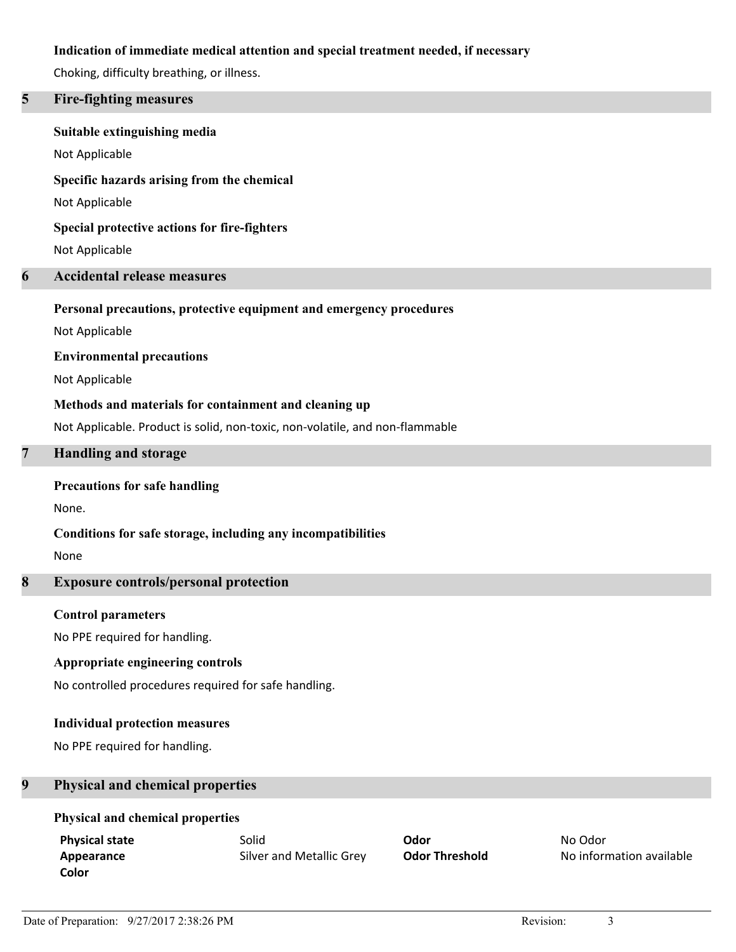# **Indication of immediate medical attention and special treatment needed, if necessary**

# Choking, difficulty breathing, or illness. **5 Fire-fighting measures** Not Applicable **Suitable extinguishing media** Not Applicable **Specific hazards arising from the chemical** Not Applicable **Special protective actions for fire-fighters 6 Accidental release measures** Not Applicable **Personal precautions, protective equipment and emergency procedures** Not Applicable **Environmental precautions** Not Applicable. Product is solid, non-toxic, non-volatile, and non-flammable **Methods and materials for containment and cleaning up 7 Handling and storage** None. **Precautions for safe handling** None **Conditions for safe storage, including any incompatibilities 8 Exposure controls/personal protection** No PPE required for handling. **Control parameters** No controlled procedures required for safe handling. **Appropriate engineering controls** No PPE required for handling. **Individual protection measures 9 Physical and chemical properties Physical and chemical properties**

**Physical state** Solid **Odor** No Odor **Appearance** Silver and Metallic Grey **Odor Threshold** No information available **Color**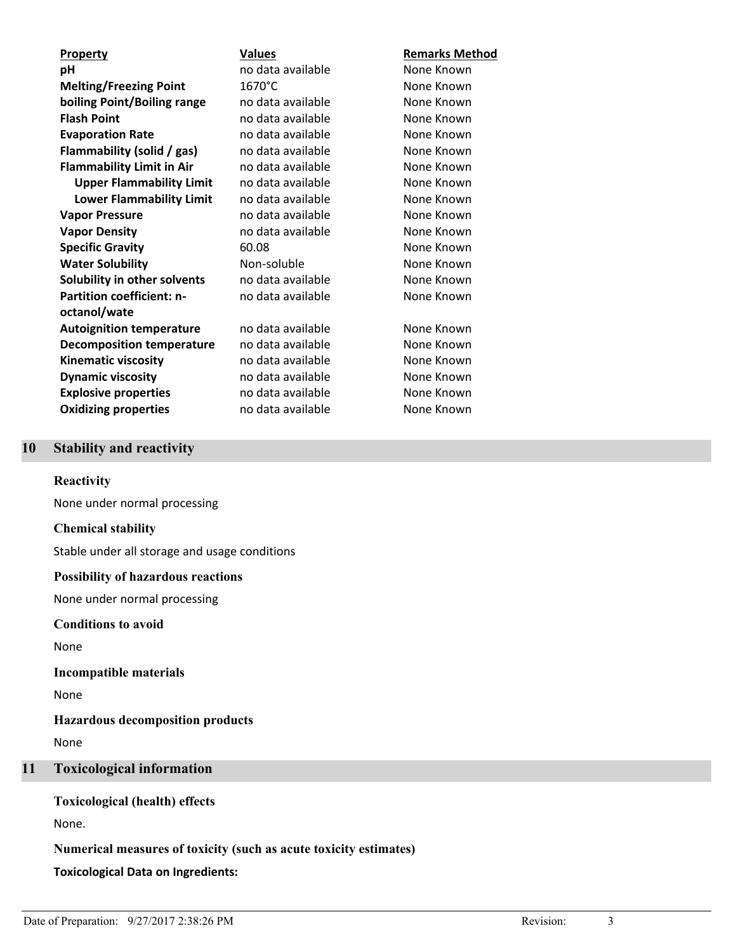| <b>Property</b>                  | <b>Values</b> |
|----------------------------------|---------------|
| рH                               | no data a     |
| <b>Melting/Freezing Point</b>    | 1670°C        |
| boiling Point/Boiling range      | no data a     |
| <b>Flash Point</b>               | no data a     |
| <b>Evaporation Rate</b>          | no data a     |
| Flammability (solid / gas)       | no data a     |
| <b>Flammability Limit in Air</b> | no data a     |
| <b>Upper Flammability Limit</b>  | no data a     |
| <b>Lower Flammability Limit</b>  | no data a     |
| <b>Vapor Pressure</b>            | no data a     |
| <b>Vapor Density</b>             | no data a     |
| <b>Specific Gravity</b>          | 60.08         |
| <b>Water Solubility</b>          | Non-solu      |
| Solubility in other solvents     | no data a     |
| <b>Partition coefficient: n-</b> | no data a     |
| octanol/wate                     |               |
| <b>Autoignition temperature</b>  | no data a     |
| <b>Decomposition temperature</b> | no data a     |
| <b>Kinematic viscosity</b>       | no data a     |
| <b>Dynamic viscosity</b>         | no data a     |
| <b>Explosive properties</b>      | no data a     |
| <b>Oxidizing properties</b>      | no data a     |
|                                  |               |

# **Remarks Method**

**phanulable R** None Known **None Known bouldary Point in the Southern Robins Robins Robins Robins Robins Robins Robins Robins Robins Robins Robins Robins Robins Robins Robins Robins Robins Robins Robins Robins Robins Flash Pointing Pointing Pointing Report** None Known **Evailable Rate None Known Flammability (solid / gas)** no data available None Known **Flammability Limit in Air** no data available None Known **Exampler 19 None Known Examplerization Example 1** None Known **Pressures Pressures Pressure None Known Valuation Constructs** None Known **None Known WaterFigure II** None Known **Solution include include Solvents** no data available no data solvents no data available variable no data available no data available variable no data available variable variable variable variable variable variable variabl available **None Known** 

**Automizable Routing None Known Provider and South Available 19 None Known Kingmatical Rivallable None Known Prical available increments** None Known **Explores 12** None Known **Properties Properties** no data available no data available no data available no data available no data available no data available no data available no data available no data available no data available no data availabl

# **10 Stability and reactivity**

#### **Reactivity**

None under normal processing

#### **Chemical stability**

Stable under all storage and usage conditions

#### **Possibility of hazardous reactions**

None under normal processing

**Conditions to avoid**

None

#### **Incompatible materials**

None

**Hazardous decomposition products**

None

# **11 Toxicological information**

**Toxicological (health) effects**

None.

# **Numerical measures of toxicity (such as acute toxicity estimates)**

**Toxicological Data on Ingredients:**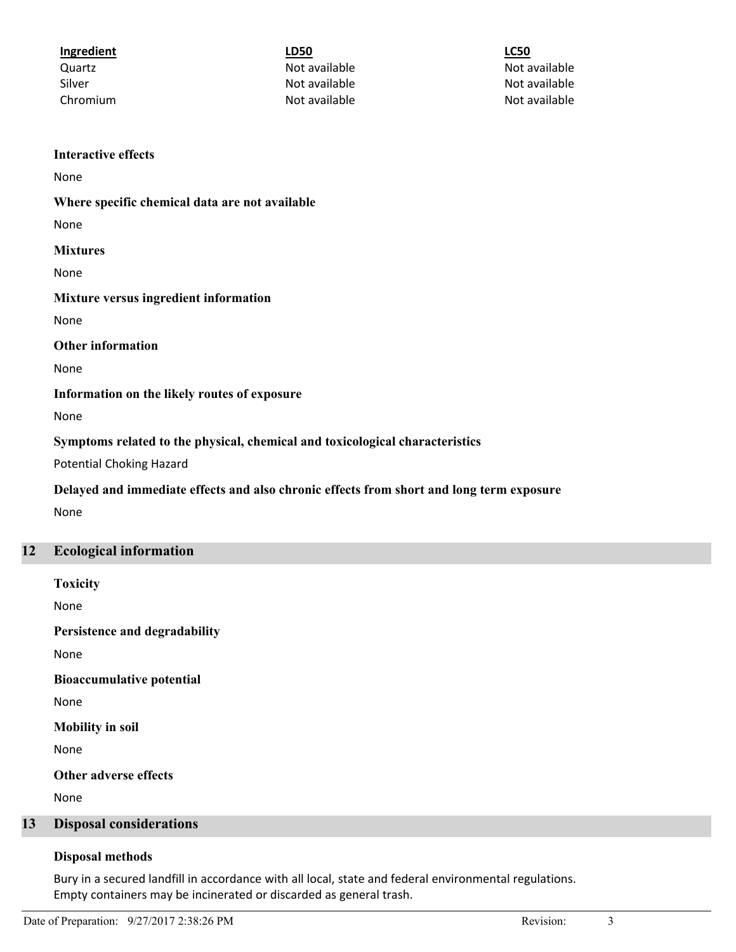| Ingredient | <b>LD50</b>   | LC50          |
|------------|---------------|---------------|
| Quartz     | Not available | Not available |
| Silver     | Not available | Not available |
| Chromium   | Not available | Not available |

# **Interactive effects**

None

#### **Where specific chemical data are not available**

None

## **Mixtures**

None

# **Mixture versus ingredient information**

None

# **Other information**

None

# **Information on the likely routes of exposure**

None

# **Symptoms related to the physical, chemical and toxicological characteristics**

Potential Choking Hazard

# **Delayed and immediate effects and also chronic effects from short and long term exposure**

None

# **12 Ecological information**

**Toxicity**

None

**Persistence and degradability**

None

**Bioaccumulative potential**

None

**Mobility in soil**

None

**Other adverse effects**

None

# **13 Disposal considerations**

# **Disposal methods**

Bury in a secured landfill in accordance with all local, state and federal environmental regulations. Empty containers may be incinerated or discarded as general trash.